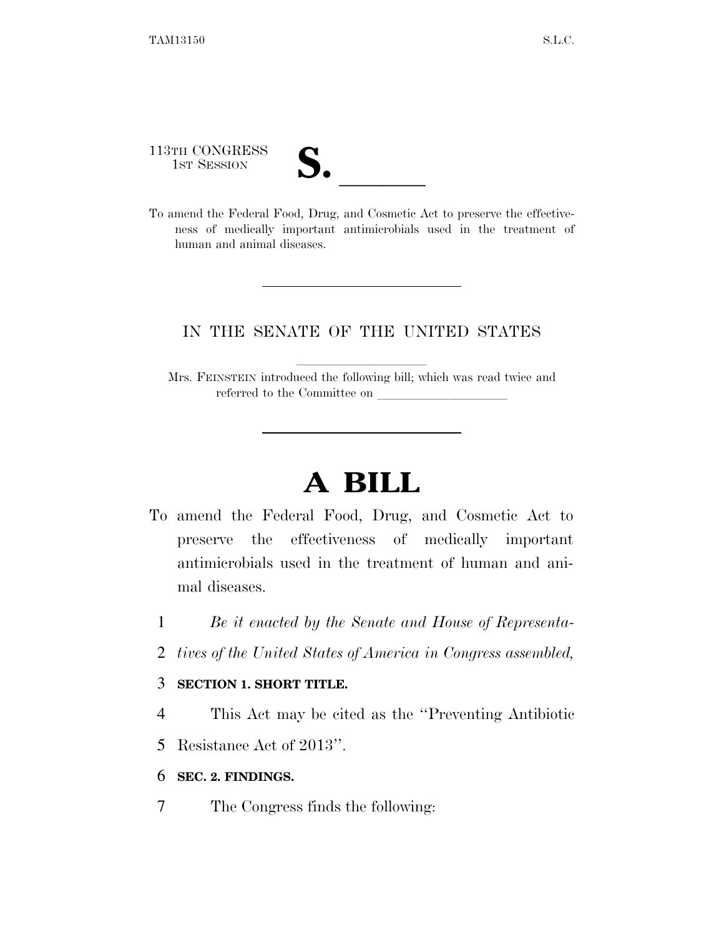human and animal diseases.

| 113TH CONGRESS<br>1ST SESSION | J. |                                                                                                                                                     |  |  |
|-------------------------------|----|-----------------------------------------------------------------------------------------------------------------------------------------------------|--|--|
|                               |    | To amend the Federal Food, Drug, and Cosmetic Act to preserve the effective-<br>ness of medically important antimicrobials used in the treatment of |  |  |

### IN THE SENATE OF THE UNITED STATES

Mrs. FEINSTEIN introduced the following bill; which was read twice and referred to the Committee on

# **A BILL**

- To amend the Federal Food, Drug, and Cosmetic Act to preserve the effectiveness of medically important antimicrobials used in the treatment of human and animal diseases.
	- 1 *Be it enacted by the Senate and House of Representa-*
	- 2 *tives of the United States of America in Congress assembled,*

#### 3 **SECTION 1. SHORT TITLE.**

- 4 This Act may be cited as the ''Preventing Antibiotic
- 5 Resistance Act of 2013''.
- 6 **SEC. 2. FINDINGS.**
- 7 The Congress finds the following: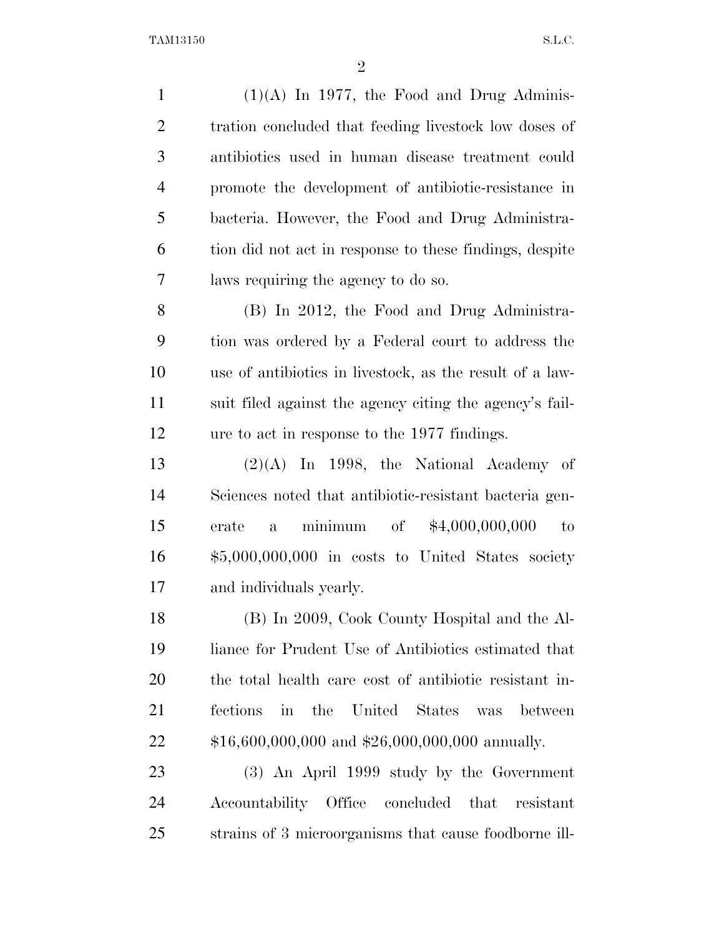$(1)(A)$  In 1977, the Food and Drug Adminis-2 tration concluded that feeding livestock low doses of antibiotics used in human disease treatment could promote the development of antibiotic-resistance in bacteria. However, the Food and Drug Administra- tion did not act in response to these findings, despite laws requiring the agency to do so. (B) In 2012, the Food and Drug Administra- tion was ordered by a Federal court to address the use of antibiotics in livestock, as the result of a law- suit filed against the agency citing the agency's fail- ure to act in response to the 1977 findings.  $(2)(A)$  In 1998, the National Academy of Sciences noted that antibiotic-resistant bacteria gen- erate a minimum of \$4,000,000,000 to \$5,000,000,000 in costs to United States society and individuals yearly. (B) In 2009, Cook County Hospital and the Al- liance for Prudent Use of Antibiotics estimated that the total health care cost of antibiotic resistant in- fections in the United States was between \$16,600,000,000 and \$26,000,000,000 annually. (3) An April 1999 study by the Government Accountability Office concluded that resistant strains of 3 microorganisms that cause foodborne ill-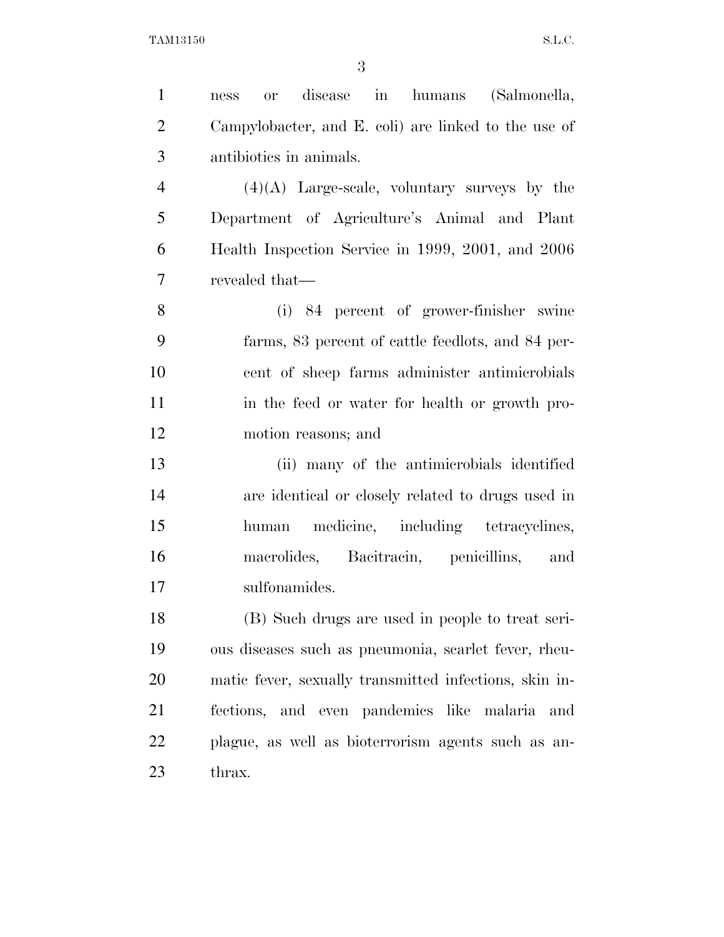| $\mathbf{1}$   | disease in humans (Salmonella,<br><b>or</b><br>ness    |
|----------------|--------------------------------------------------------|
| $\overline{2}$ | Campylobacter, and E. coli) are linked to the use of   |
| 3              | antibiotics in animals.                                |
| $\overline{4}$ | $(4)(A)$ Large-scale, voluntary surveys by the         |
| 5              | Department of Agriculture's Animal and Plant           |
| 6              | Health Inspection Service in 1999, 2001, and 2006      |
| $\overline{7}$ | revealed that—                                         |
| 8              | (i) 84 percent of grower-finisher swine                |
| 9              | farms, 83 percent of cattle feedlots, and 84 per-      |
| 10             | cent of sheep farms administer antimicrobials          |
| 11             | in the feed or water for health or growth pro-         |
| 12             | motion reasons; and                                    |
| 13             | (ii) many of the antimicrobials identified             |
| 14             | are identical or closely related to drugs used in      |
| 15             | medicine, including tetracyclines,<br>human            |
| 16             | macrolides, Bacitracin, penicillins,<br>and            |
| 17             | sulfonamides.                                          |
| 18             | (B) Such drugs are used in people to treat seri-       |
| 19             | ous diseases such as pneumonia, scarlet fever, rheu-   |
| 20             | matic fever, sexually transmitted infections, skin in- |
| 21             | fections, and even pandemics like malaria<br>and       |
| 22             | plague, as well as bioterrorism agents such as an-     |
| 23             | thrax.                                                 |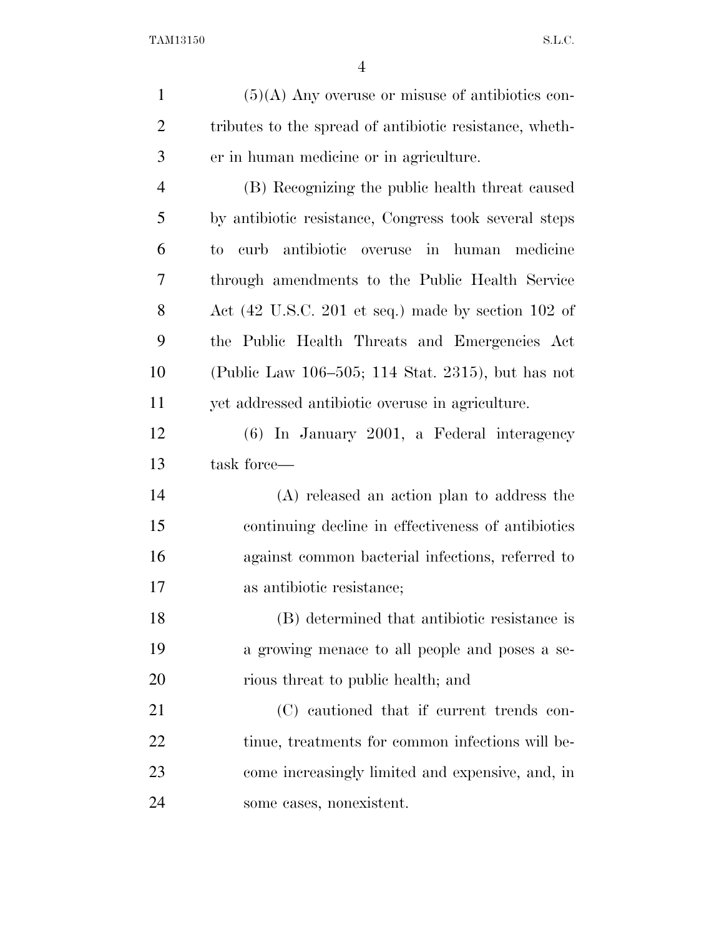(5)(A) Any overuse or misuse of antibiotics con- tributes to the spread of antibiotic resistance, wheth- er in human medicine or in agriculture. (B) Recognizing the public health threat caused by antibiotic resistance, Congress took several steps to curb antibiotic overuse in human medicine through amendments to the Public Health Service Act (42 U.S.C. 201 et seq.) made by section 102 of the Public Health Threats and Emergencies Act (Public Law 106–505; 114 Stat. 2315), but has not yet addressed antibiotic overuse in agriculture. (6) In January 2001, a Federal interagency task force— (A) released an action plan to address the continuing decline in effectiveness of antibiotics against common bacterial infections, referred to as antibiotic resistance; (B) determined that antibiotic resistance is a growing menace to all people and poses a se-20 rious threat to public health; and 21 (C) cautioned that if current trends con-22 tinue, treatments for common infections will be- come increasingly limited and expensive, and, in some cases, nonexistent.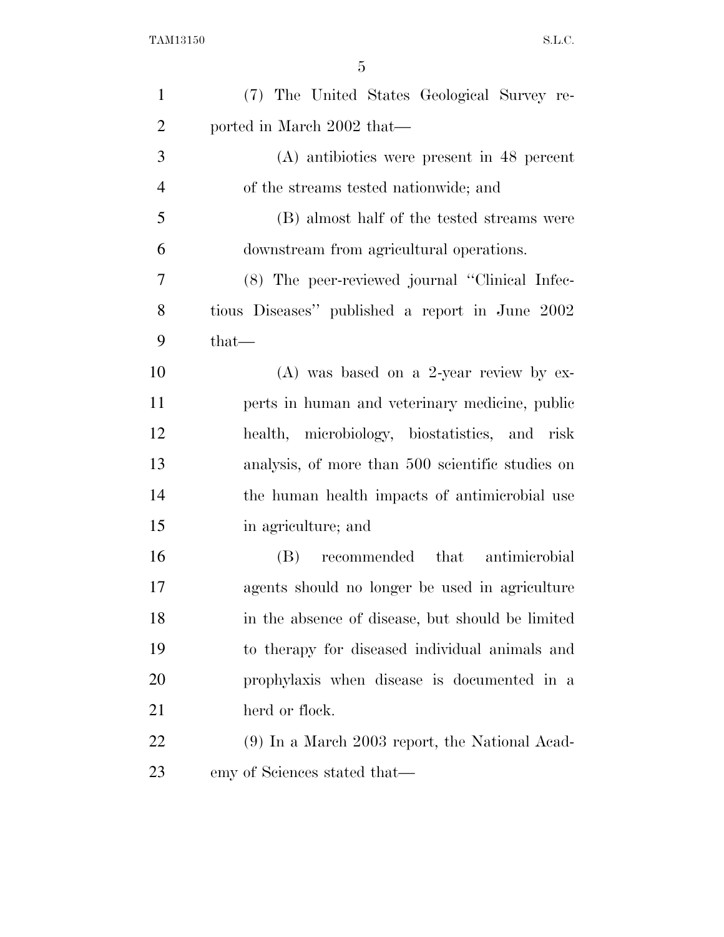| $\mathbf{1}$   | (7) The United States Geological Survey re-      |
|----------------|--------------------------------------------------|
| $\overline{2}$ | ported in March 2002 that-                       |
| 3              | (A) antibiotics were present in 48 percent       |
| $\overline{4}$ | of the streams tested nationwide; and            |
| 5              | (B) almost half of the tested streams were       |
| 6              | downstream from agricultural operations.         |
| 7              | (8) The peer-reviewed journal "Clinical Infec-   |
| 8              | tious Diseases" published a report in June 2002  |
| 9              | that—                                            |
| 10             | $(A)$ was based on a 2-year review by ex-        |
| 11             | perts in human and veterinary medicine, public   |
| 12             | health, microbiology, biostatistics, and risk    |
| 13             | analysis, of more than 500 scientific studies on |
| 14             | the human health impacts of antimicrobial use    |
| 15             | in agriculture; and                              |
| 16             | (B) recommended that antimicrobial               |
| 17             | agents should no longer be used in agriculture   |
| 18             | in the absence of disease, but should be limited |
| 19             | to therapy for diseased individual animals and   |
| <b>20</b>      | prophylaxis when disease is documented in a      |
| 21             | herd or flock.                                   |
| 22             | $(9)$ In a March 2003 report, the National Acad- |
| 23             | emy of Sciences stated that—                     |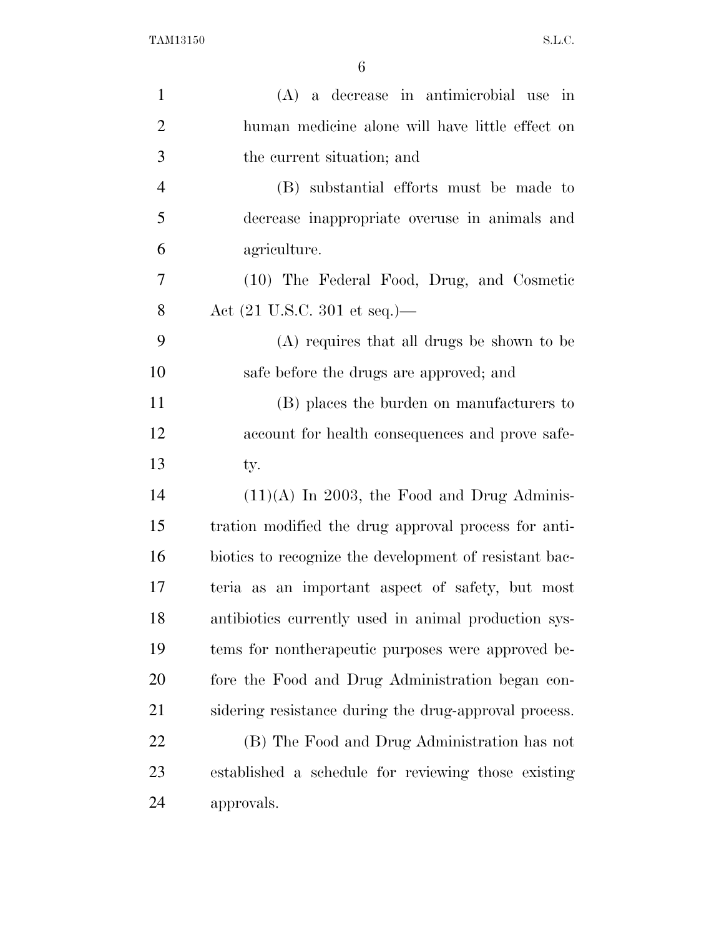| $\mathbf{1}$   | (A) a decrease in antimicrobial use in                 |
|----------------|--------------------------------------------------------|
| $\overline{2}$ | human medicine alone will have little effect on        |
| 3              | the current situation; and                             |
| $\overline{4}$ | (B) substantial efforts must be made to                |
| 5              | decrease inappropriate overuse in animals and          |
| 6              | agriculture.                                           |
| 7              | (10) The Federal Food, Drug, and Cosmetic              |
| 8              | Act $(21 \text{ U.S.C. } 301 \text{ et seq.})$ —       |
| 9              | (A) requires that all drugs be shown to be             |
| 10             | safe before the drugs are approved; and                |
| 11             | (B) places the burden on manufacturers to              |
| 12             | account for health consequences and prove safe-        |
|                |                                                        |
| 13             | ty.                                                    |
| 14             | $(11)(A)$ In 2003, the Food and Drug Adminis-          |
| 15             | tration modified the drug approval process for anti-   |
| 16             | biotics to recognize the development of resistant bac- |
| 17             | teria as an important aspect of safety, but most       |
| 18             | antibiotics currently used in animal production sys-   |
| 19             | tems for nontherapeutic purposes were approved be-     |
| 20             | fore the Food and Drug Administration began con-       |
| 21             | sidering resistance during the drug-approval process.  |
| <u>22</u>      | (B) The Food and Drug Administration has not           |
| 23             | established a schedule for reviewing those existing    |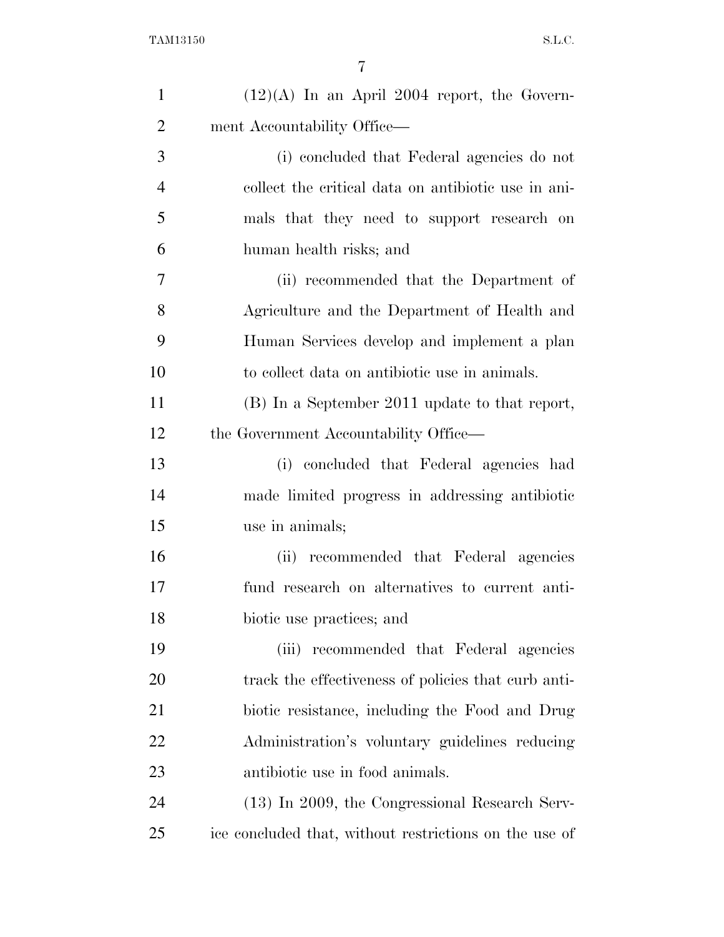| $\mathbf{1}$   | $(12)(A)$ In an April 2004 report, the Govern-         |
|----------------|--------------------------------------------------------|
| $\overline{2}$ | ment Accountability Office—                            |
| 3              | (i) concluded that Federal agencies do not             |
| $\overline{4}$ | collect the critical data on antibiotic use in ani-    |
| 5              | mals that they need to support research on             |
| 6              | human health risks; and                                |
| 7              | (ii) recommended that the Department of                |
| 8              | Agriculture and the Department of Health and           |
| 9              | Human Services develop and implement a plan            |
| 10             | to collect data on antibiotic use in animals.          |
| 11             | (B) In a September 2011 update to that report,         |
| 12             | the Government Accountability Office—                  |
| 13             | (i) concluded that Federal agencies had                |
| 14             | made limited progress in addressing antibiotic         |
| 15             | use in animals;                                        |
| 16             | (ii) recommended that Federal agencies                 |
| 17             | fund research on alternatives to current anti-         |
| 18             | biotic use practices; and                              |
| 19             | recommended that Federal agencies<br>(iii)             |
| 20             | track the effectiveness of policies that curb anti-    |
| 21             | biotic resistance, including the Food and Drug         |
| 22             | Administration's voluntary guidelines reducing         |
| 23             | antibiotic use in food animals.                        |
| 24             | (13) In 2009, the Congressional Research Serv-         |
| 25             | ice concluded that, without restrictions on the use of |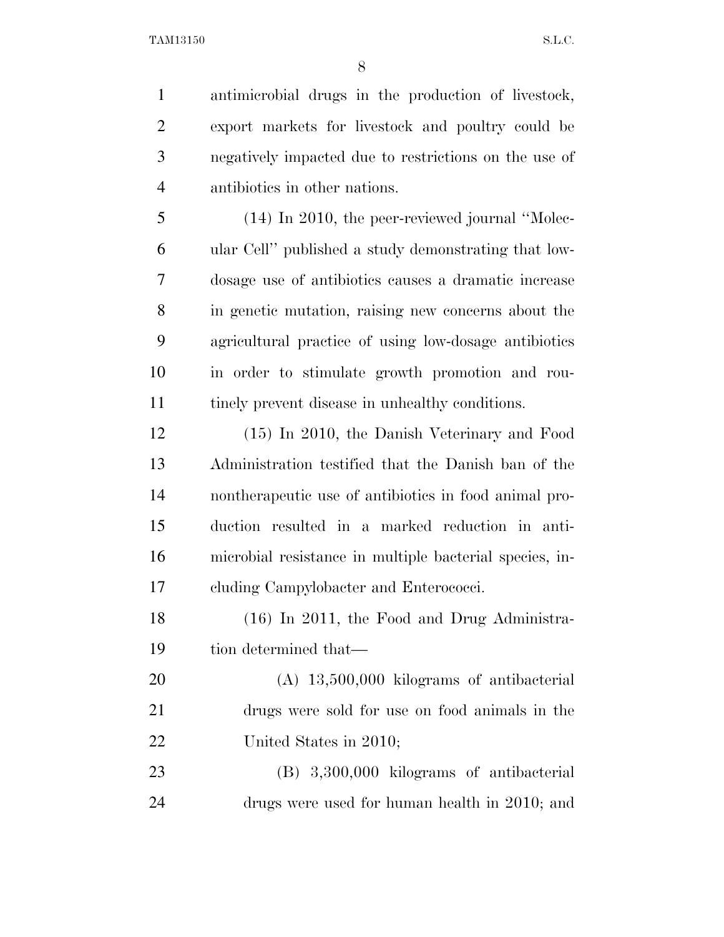antimicrobial drugs in the production of livestock, export markets for livestock and poultry could be negatively impacted due to restrictions on the use of antibiotics in other nations.

 (14) In 2010, the peer-reviewed journal ''Molec- ular Cell'' published a study demonstrating that low- dosage use of antibiotics causes a dramatic increase in genetic mutation, raising new concerns about the agricultural practice of using low-dosage antibiotics in order to stimulate growth promotion and rou-tinely prevent disease in unhealthy conditions.

 (15) In 2010, the Danish Veterinary and Food Administration testified that the Danish ban of the nontherapeutic use of antibiotics in food animal pro- duction resulted in a marked reduction in anti- microbial resistance in multiple bacterial species, in-cluding Campylobacter and Enterococci.

 (16) In 2011, the Food and Drug Administra-tion determined that—

 (A) 13,500,000 kilograms of antibacterial drugs were sold for use on food animals in the 22 United States in 2010;

 (B) 3,300,000 kilograms of antibacterial drugs were used for human health in 2010; and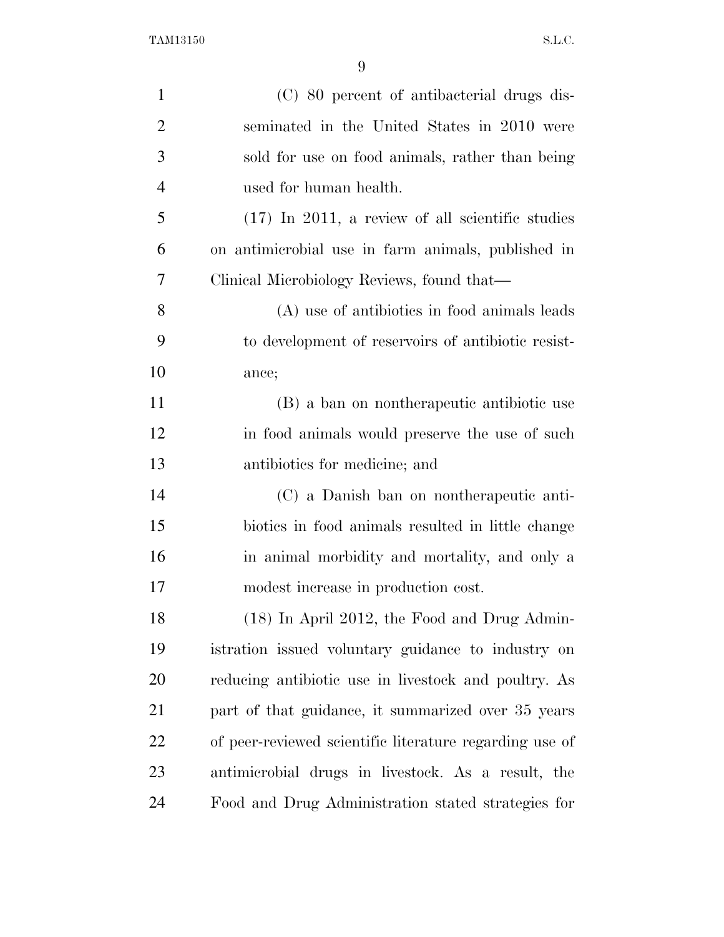| $\mathbf{1}$   | (C) 80 percent of antibacterial drugs dis-              |
|----------------|---------------------------------------------------------|
| $\overline{2}$ | seminated in the United States in 2010 were             |
| 3              | sold for use on food animals, rather than being         |
| $\overline{4}$ | used for human health.                                  |
| 5              | $(17)$ In 2011, a review of all scientific studies      |
| 6              | on antimicrobial use in farm animals, published in      |
| 7              | Clinical Microbiology Reviews, found that—              |
| 8              | (A) use of antibiotics in food animals leads            |
| 9              | to development of reservoirs of antibiotic resist-      |
| 10             | ance;                                                   |
| 11             | (B) a ban on nontherapeutic antibiotic use              |
| 12             | in food animals would preserve the use of such          |
| 13             | antibiotics for medicine; and                           |
| 14             | (C) a Danish ban on nontherapeutic anti-                |
| 15             | biotics in food animals resulted in little change       |
| 16             | in animal morbidity and mortality, and only a           |
| 17             | modest increase in production cost.                     |
| 18             | (18) In April 2012, the Food and Drug Admin-            |
| 19             | istration issued voluntary guidance to industry on      |
| <b>20</b>      | reducing antibiotic use in livestock and poultry. As    |
| 21             | part of that guidance, it summarized over 35 years      |
| 22             | of peer-reviewed scientific literature regarding use of |
| 23             | antimicrobial drugs in livestock. As a result, the      |
| 24             | Food and Drug Administration stated strategies for      |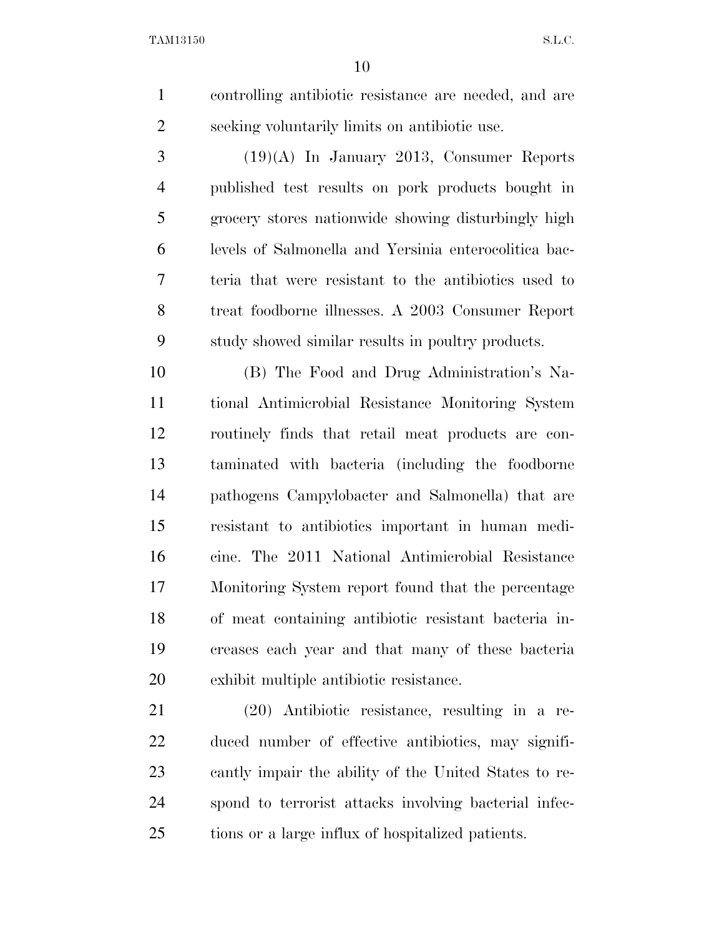controlling antibiotic resistance are needed, and are seeking voluntarily limits on antibiotic use.

 $3 \hspace{1.5cm} (19)(A)$  In January 2013, Consumer Reports published test results on pork products bought in grocery stores nationwide showing disturbingly high levels of Salmonella and Yersinia enterocolitica bac- teria that were resistant to the antibiotics used to treat foodborne illnesses. A 2003 Consumer Report study showed similar results in poultry products.

 (B) The Food and Drug Administration's Na- tional Antimicrobial Resistance Monitoring System routinely finds that retail meat products are con- taminated with bacteria (including the foodborne pathogens Campylobacter and Salmonella) that are resistant to antibiotics important in human medi- cine. The 2011 National Antimicrobial Resistance Monitoring System report found that the percentage of meat containing antibiotic resistant bacteria in- creases each year and that many of these bacteria exhibit multiple antibiotic resistance.

 (20) Antibiotic resistance, resulting in a re- duced number of effective antibiotics, may signifi- cantly impair the ability of the United States to re- spond to terrorist attacks involving bacterial infec-tions or a large influx of hospitalized patients.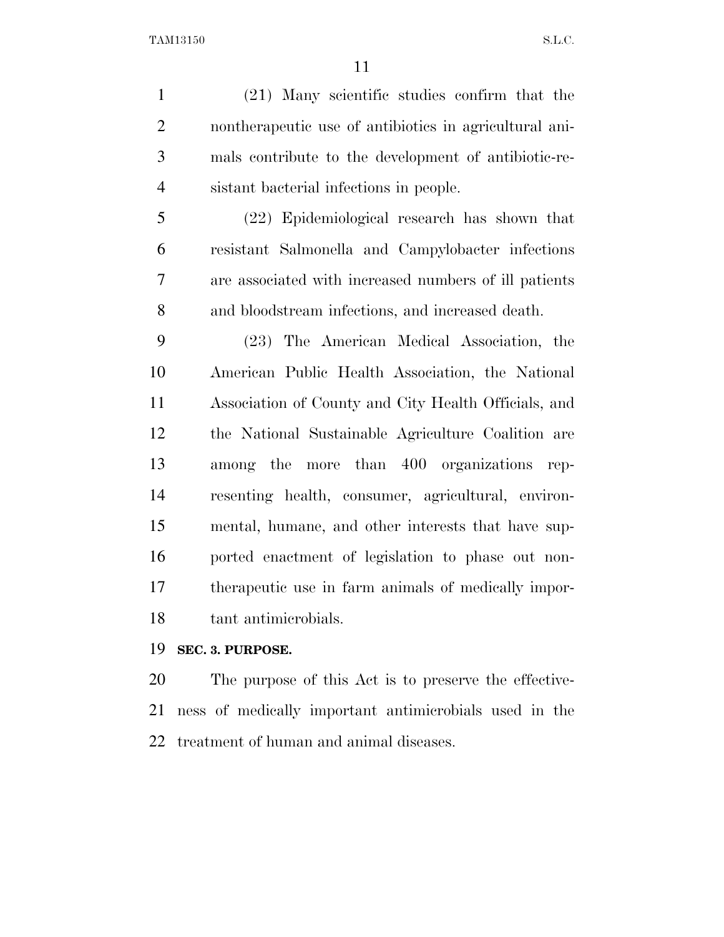(21) Many scientific studies confirm that the nontherapeutic use of antibiotics in agricultural ani- mals contribute to the development of antibiotic-re-sistant bacterial infections in people.

 (22) Epidemiological research has shown that resistant Salmonella and Campylobacter infections are associated with increased numbers of ill patients and bloodstream infections, and increased death.

 (23) The American Medical Association, the American Public Health Association, the National Association of County and City Health Officials, and the National Sustainable Agriculture Coalition are among the more than 400 organizations rep- resenting health, consumer, agricultural, environ- mental, humane, and other interests that have sup- ported enactment of legislation to phase out non- therapeutic use in farm animals of medically impor-tant antimicrobials.

#### **SEC. 3. PURPOSE.**

 The purpose of this Act is to preserve the effective- ness of medically important antimicrobials used in the treatment of human and animal diseases.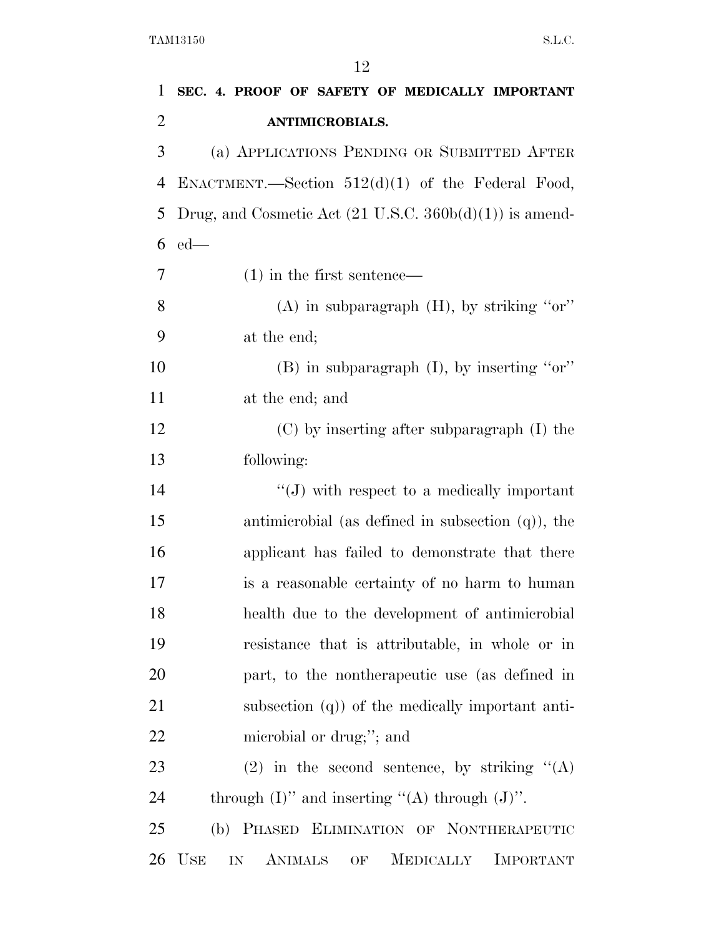| 1              | SEC. 4. PROOF OF SAFETY OF MEDICALLY IMPORTANT                                   |
|----------------|----------------------------------------------------------------------------------|
| $\overline{2}$ | <b>ANTIMICROBIALS.</b>                                                           |
| 3              | (a) APPLICATIONS PENDING OR SUBMITTED AFTER                                      |
| 4              | ENACTMENT.—Section $512(d)(1)$ of the Federal Food,                              |
| 5              | Drug, and Cosmetic Act $(21 \text{ U.S.C. } 360b(d)(1))$ is amend-               |
| 6              | $ed$ —                                                                           |
| 7              | $(1)$ in the first sentence—                                                     |
| 8              | $(A)$ in subparagraph $(H)$ , by striking "or"                                   |
| 9              | at the end;                                                                      |
| 10             | $(B)$ in subparagraph $(I)$ , by inserting "or"                                  |
| 11             | at the end; and                                                                  |
| 12             | (C) by inserting after subparagraph (I) the                                      |
| 13             | following:                                                                       |
| 14             | $\lq\lq(J)$ with respect to a medically important                                |
| 15             | antimicrobial (as defined in subsection $(q)$ ), the                             |
| 16             | applicant has failed to demonstrate that there                                   |
| 17             | is a reasonable certainty of no harm to human                                    |
| 18             | health due to the development of antimicrobial                                   |
| 19             | resistance that is attributable, in whole or in                                  |
| 20             | part, to the nontherapeutic use (as defined in                                   |
| 21             | subsection $(q)$ ) of the medically important anti-                              |
| 22             | microbial or drug;"; and                                                         |
| 23             | (2) in the second sentence, by striking $\mathcal{C}(A)$                         |
| 24             | through $(I)$ " and inserting "(A) through $(J)$ ".                              |
| 25             | (b) PHASED ELIMINATION OF NONTHERAPEUTIC                                         |
| 26             | <b>USE</b><br><b>ANIMALS</b><br><b>MEDICALLY</b><br><b>IMPORTANT</b><br>IN<br>OF |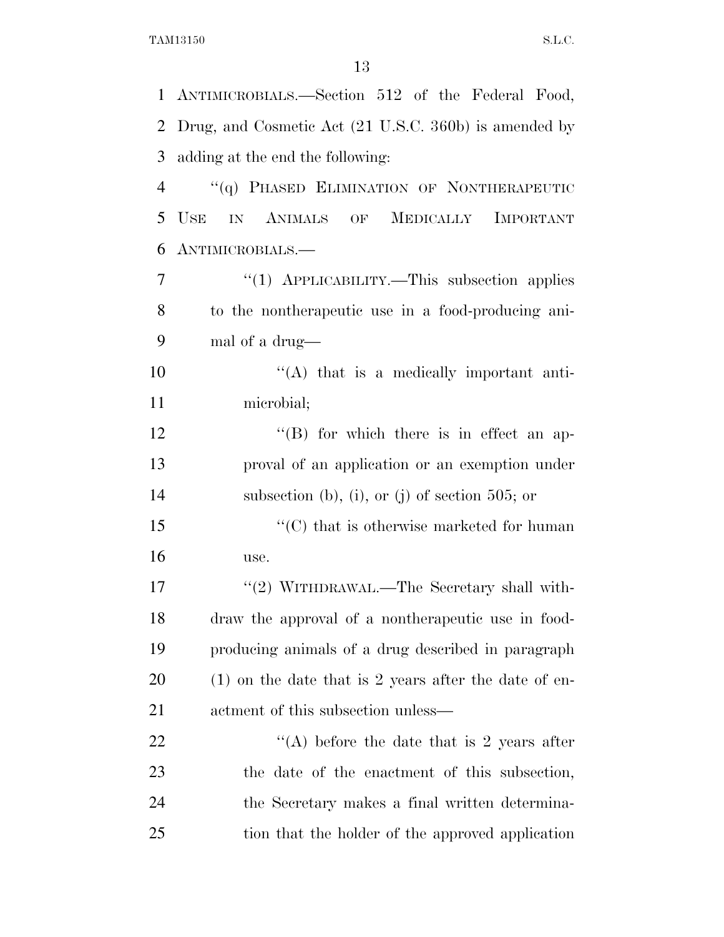|                | 1 ANTIMICROBIALS.—Section 512 of the Federal Food,      |
|----------------|---------------------------------------------------------|
| $\overline{2}$ | Drug, and Cosmetic Act (21 U.S.C. 360b) is amended by   |
| 3              | adding at the end the following:                        |
| $\overline{4}$ | "(q) PHASED ELIMINATION OF NONTHERAPEUTIC               |
| 5              | <b>USE</b><br>IN ANIMALS OF MEDICALLY IMPORTANT         |
| 6              | ANTIMICROBIALS.                                         |
| 7              | " $(1)$ APPLICABILITY.—This subsection applies          |
| 8              | to the nontherapeutic use in a food-producing ani-      |
| 9              | mal of a drug—                                          |
| 10             | $\lq\lq$ that is a medically important anti-            |
| 11             | microbial;                                              |
| 12             | $\lq\lq (B)$ for which there is in effect an ap-        |
| 13             | proval of an application or an exemption under          |
| 14             | subsection (b), (i), or (j) of section 505; or          |
| 15             | $\cdot$ (C) that is otherwise marketed for human        |
| 16             | use.                                                    |
| 17             | "(2) WITHDRAWAL.—The Secretary shall with-              |
| 18             | draw the approval of a nontherapeutic use in food-      |
| 19             | producing animals of a drug described in paragraph      |
| 20             | $(1)$ on the date that is 2 years after the date of en- |
| 21             | actment of this subsection unless—                      |
| 22             | "(A) before the date that is 2 years after              |
| 23             | the date of the enactment of this subsection,           |
| 24             | the Secretary makes a final written determina-          |
| 25             | tion that the holder of the approved application        |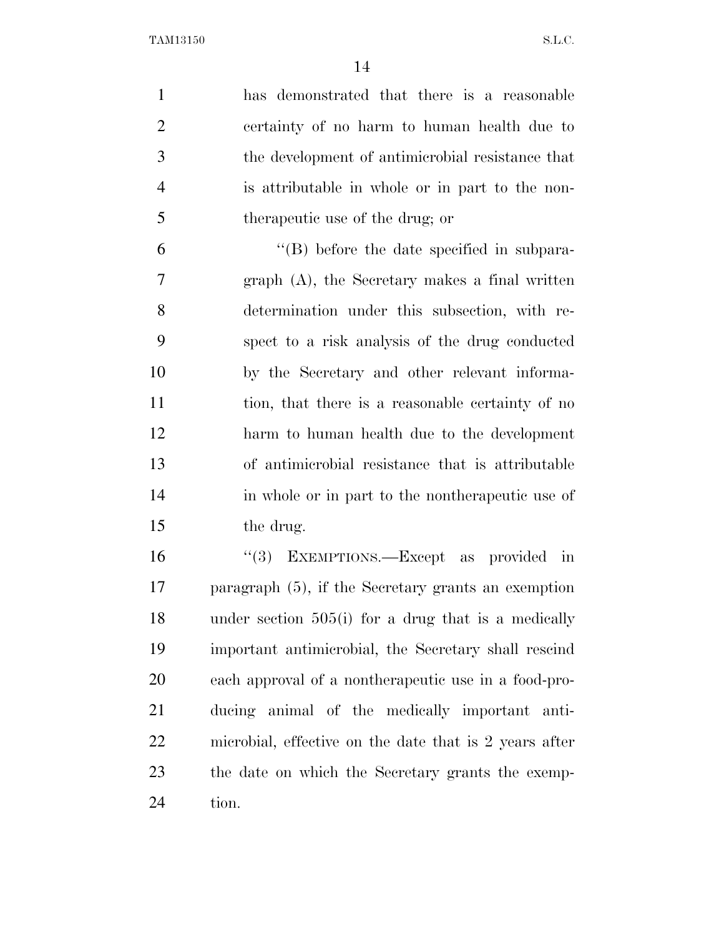| $\mathbf{1}$   | has demonstrated that there is a reasonable            |
|----------------|--------------------------------------------------------|
| $\overline{2}$ | certainty of no harm to human health due to            |
| 3              | the development of antimicrobial resistance that       |
| $\overline{4}$ | is attributable in whole or in part to the non-        |
| 5              | therapeutic use of the drug; or                        |
| 6              | $\lq\lq$ before the date specified in subpara-         |
| 7              | $graph(A)$ , the Secretary makes a final written       |
| 8              | determination under this subsection, with re-          |
| 9              | spect to a risk analysis of the drug conducted         |
| 10             | by the Secretary and other relevant informa-           |
| 11             | tion, that there is a reasonable certainty of no       |
| 12             | harm to human health due to the development            |
| 13             | of antimicrobial resistance that is attributable       |
| 14             | in whole or in part to the nontherapeutic use of       |
| 15             | the drug.                                              |
| 16             | "(3) EXEMPTIONS.—Except as provided in                 |
| 17             | paragraph $(5)$ , if the Secretary grants an exemption |
| 18             | under section 505(i) for a drug that is a medically    |
| 19             | important antimicrobial, the Secretary shall rescind   |
| 20             | each approval of a nontherapeutic use in a food-pro-   |
| 21             | ducing animal of the medically important anti-         |
| 22             | microbial, effective on the date that is 2 years after |
| 23             | the date on which the Secretary grants the exemp-      |

tion.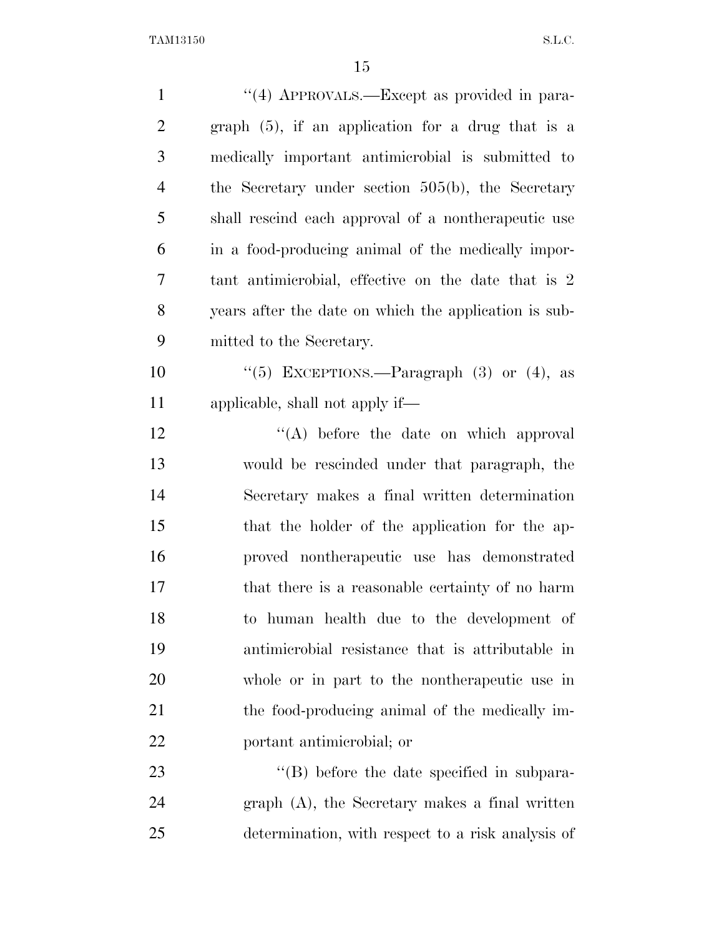| $\mathbf{1}$   | "(4) APPROVALS.—Except as provided in para-           |
|----------------|-------------------------------------------------------|
| $\overline{2}$ | graph $(5)$ , if an application for a drug that is a  |
| 3              | medically important antimicrobial is submitted to     |
| $\overline{4}$ | the Secretary under section 505(b), the Secretary     |
| 5              | shall rescind each approval of a nontherapeutic use   |
| 6              | in a food-producing animal of the medically impor-    |
| 7              | tant antimicrobial, effective on the date that is 2   |
| 8              | years after the date on which the application is sub- |
| 9              | mitted to the Secretary.                              |
| 10             | "(5) EXCEPTIONS.—Paragraph $(3)$ or $(4)$ , as        |
| 11             | applicable, shall not apply if—                       |
| 12             | $\lq\lq$ before the date on which approval            |
| 13             | would be rescinded under that paragraph, the          |
| 14             | Secretary makes a final written determination         |
| 15             | that the holder of the application for the ap-        |
| 16             | proved nontherapeutic use has demonstrated            |
| 17             | that there is a reasonable certainty of no harm       |
| 18             | to human health due to the development of             |
| 19             | antimicrobial resistance that is attributable in      |
| 20             | whole or in part to the nontherapeutic use in         |
| 21             | the food-producing animal of the medically im-        |
| 22             | portant antimicrobial; or                             |
| 23             | "(B) before the date specified in subpara-            |
| 24             | $graph(A)$ , the Secretary makes a final written      |
| 25             | determination, with respect to a risk analysis of     |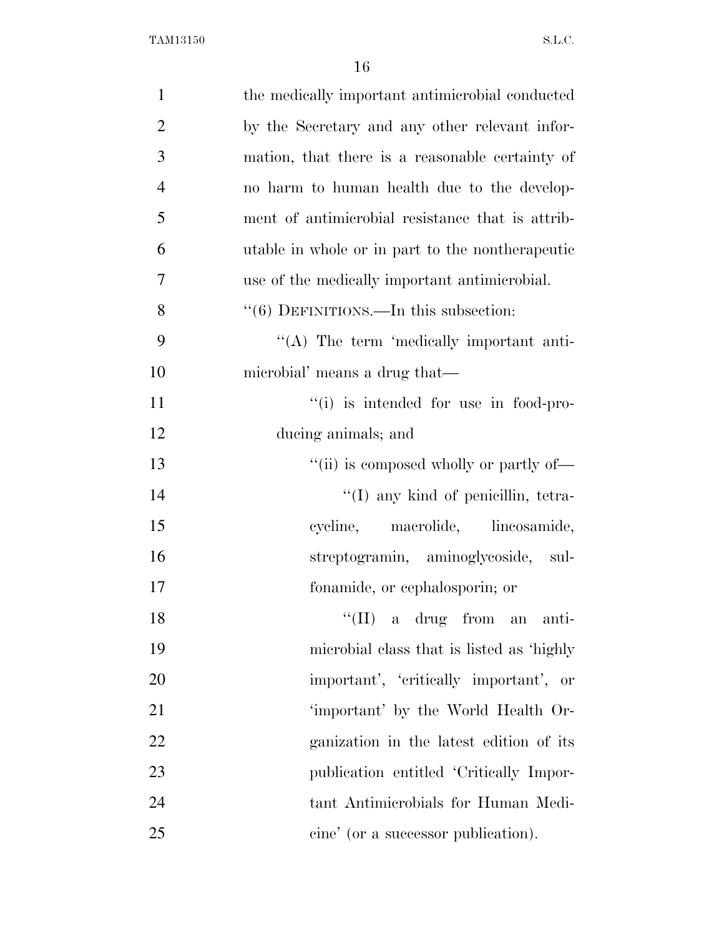| $\mathbf{1}$   | the medically important antimicrobial conducted  |
|----------------|--------------------------------------------------|
| $\overline{2}$ | by the Secretary and any other relevant infor-   |
| 3              | mation, that there is a reasonable certainty of  |
| $\overline{4}$ | no harm to human health due to the develop-      |
| 5              | ment of antimicrobial resistance that is attrib- |
| 6              | utable in whole or in part to the nontherapeutic |
| 7              | use of the medically important antimicrobial.    |
| 8              | "(6) DEFINITIONS.—In this subsection:            |
| 9              | $\lq\lq$ . The term 'medically important anti-   |
| 10             | microbial' means a drug that—                    |
| 11             | "(i) is intended for use in food-pro-            |
| 12             | ducing animals; and                              |
| 13             | "(ii) is composed wholly or partly of—           |
| 14             | $\lq (I)$ any kind of penicillin, tetra-         |
| 15             | cycline, macrolide, lineosamide,                 |
| 16             | streptogramin, aminoglycoside, sul-              |
| 17             | fonamide, or cephalosporin; or                   |
| 18             | $\lq\lq$ (II) a drug from an anti-               |
| 19             | microbial class that is listed as 'highly        |
| 20             | important', 'critically important', or           |
| 21             | 'important' by the World Health Or-              |
| 22             | ganization in the latest edition of its          |
| 23             | publication entitled 'Critically Impor-          |
| 24             | tant Antimicrobials for Human Medi-              |
| 25             | cine' (or a successor publication).              |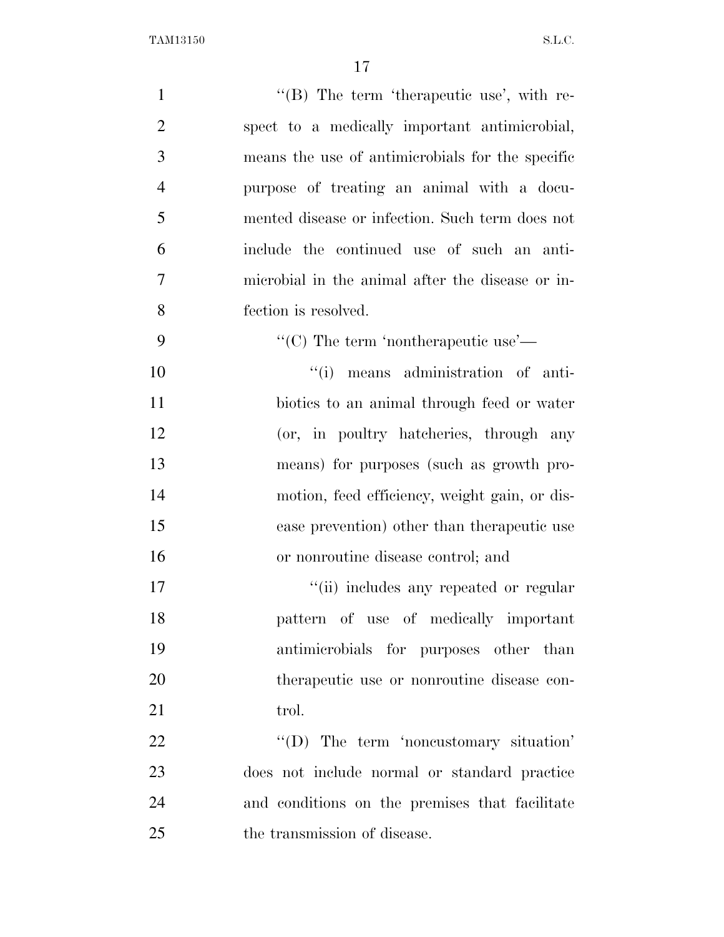| $\mathbf{1}$   | " $(B)$ The term 'therapeutic use', with re-     |
|----------------|--------------------------------------------------|
| $\overline{2}$ | spect to a medically important antimicrobial,    |
| 3              | means the use of antimicrobials for the specific |
| $\overline{4}$ | purpose of treating an animal with a docu-       |
| 5              | mented disease or infection. Such term does not  |
| 6              | include the continued use of such an anti-       |
| $\tau$         | microbial in the animal after the disease or in- |
| 8              | fection is resolved.                             |
| 9              | "(C) The term 'nontherapeutic use'—              |
| 10             | "(i) means administration of anti-               |
| 11             | biotics to an animal through feed or water       |
| 12             | (or, in poultry hatcheries, through any          |
| 13             | means) for purposes (such as growth pro-         |
| 14             | motion, feed efficiency, weight gain, or dis-    |
| 15             | ease prevention) other than the rapeutic use     |
| 16             | or nonroutine disease control; and               |
| 17             | "(ii) includes any repeated or regular           |
| 18             | pattern of use of medically important            |
| 19             | antimicrobials for purposes other than           |
| 20             | therapeutic use or nonroutine disease con-       |
| 21             | trol.                                            |
| 22             | $\lq\lq$ . The term 'noncustomary situation'     |
| 23             | does not include normal or standard practice     |
| 24             | and conditions on the premises that facilitate   |
| 25             | the transmission of disease.                     |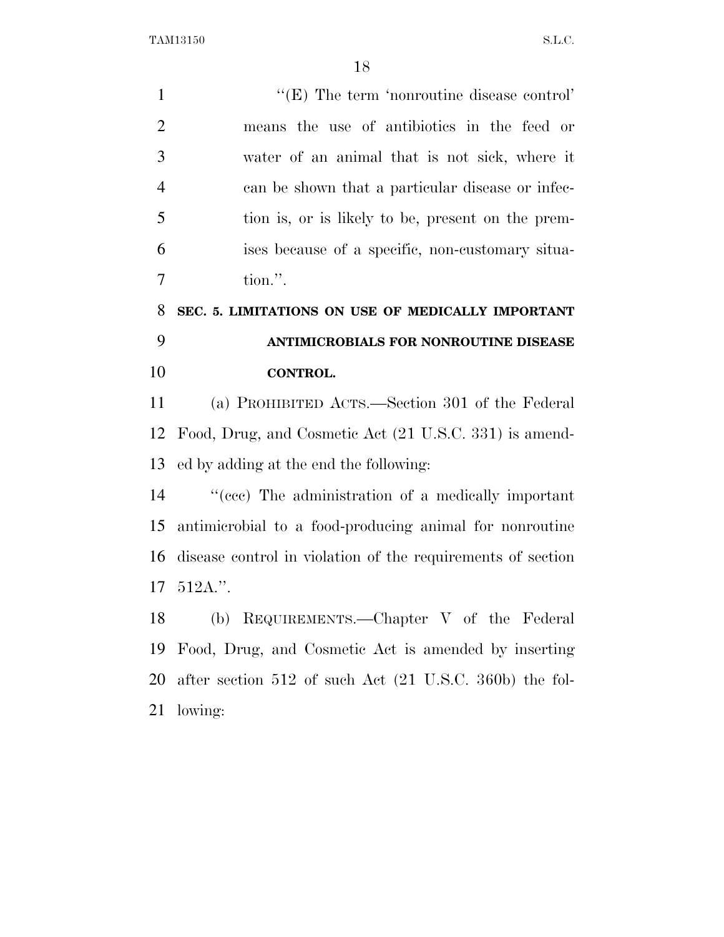| $\mathbf{1}$   | " $(E)$ The term 'nonroutine disease control'                               |
|----------------|-----------------------------------------------------------------------------|
| $\overline{2}$ | means the use of antibiotics in the feed or                                 |
| 3              | water of an animal that is not sick, where it                               |
| $\overline{4}$ | can be shown that a particular disease or infec-                            |
| 5              | tion is, or is likely to be, present on the prem-                           |
| 6              | ises because of a specific, non-customary situa-                            |
| 7              | tion.".                                                                     |
| 8              | SEC. 5. LIMITATIONS ON USE OF MEDICALLY IMPORTANT                           |
| 9              | ANTIMICROBIALS FOR NONROUTINE DISEASE                                       |
| 10             | CONTROL.                                                                    |
| 11             | (a) PROHIBITED ACTS.—Section 301 of the Federal                             |
| 12             | Food, Drug, and Cosmetic Act (21 U.S.C. 331) is amend-                      |
| 13             | ed by adding at the end the following:                                      |
| 14             | "(ccc) The administration of a medically important                          |
| 15             | antimicrobial to a food-producing animal for nonroutine                     |
| 16             | disease control in violation of the requirements of section                 |
| 17             | $512A$ ."                                                                   |
| 18             | (b) REQUIREMENTS.—Chapter V of the Federal                                  |
| 19             | Food, Drug, and Cosmetic Act is amended by inserting                        |
| 20             | after section $512$ of such Act $(21 \text{ U.S.C. } 360\text{b})$ the fol- |
| 21             | lowing:                                                                     |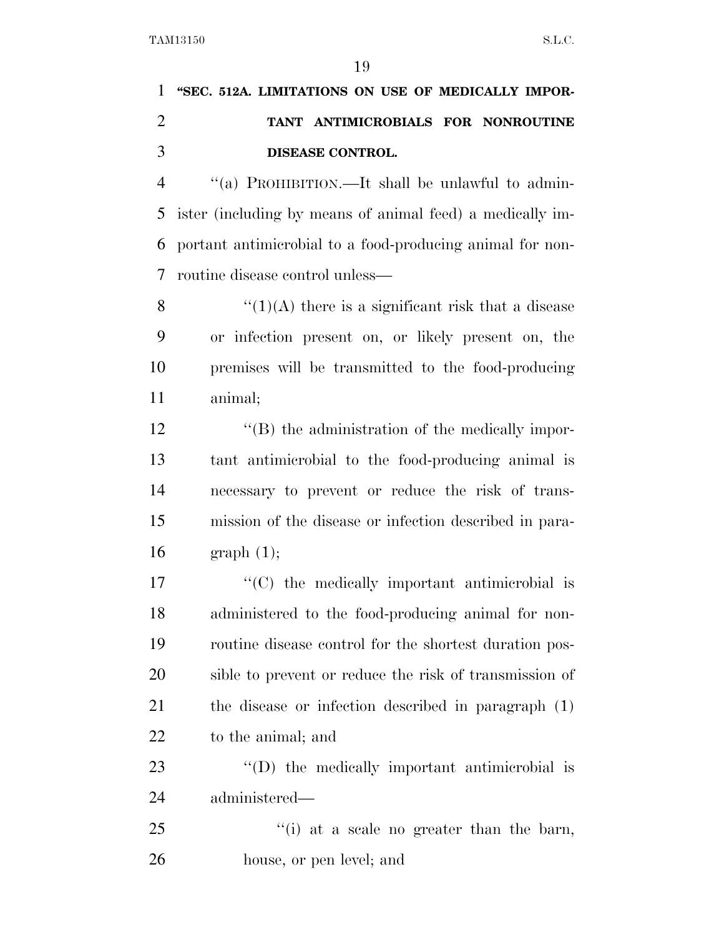## **''SEC. 512A. LIMITATIONS ON USE OF MEDICALLY IMPOR- TANT ANTIMICROBIALS FOR NONROUTINE DISEASE CONTROL.**

 ''(a) PROHIBITION.—It shall be unlawful to admin- ister (including by means of animal feed) a medically im- portant antimicrobial to a food-producing animal for non-routine disease control unless—

 $\frac{1}{(1)(A)}$  there is a significant risk that a disease or infection present on, or likely present on, the premises will be transmitted to the food-producing animal;

12 ''(B) the administration of the medically impor- tant antimicrobial to the food-producing animal is necessary to prevent or reduce the risk of trans- mission of the disease or infection described in para-16 graph  $(1)$ ;

 $\langle ^{\prime}(C) \rangle$  the medically important antimicrobial is administered to the food-producing animal for non- routine disease control for the shortest duration pos- sible to prevent or reduce the risk of transmission of the disease or infection described in paragraph (1) to the animal; and

23  $\langle \text{`}(D) \rangle$  the medically important antimicrobial is administered—

25  $\frac{1}{25}$   $\frac{1}{25}$   $\frac{1}{25}$  at a scale no greater than the barn, house, or pen level; and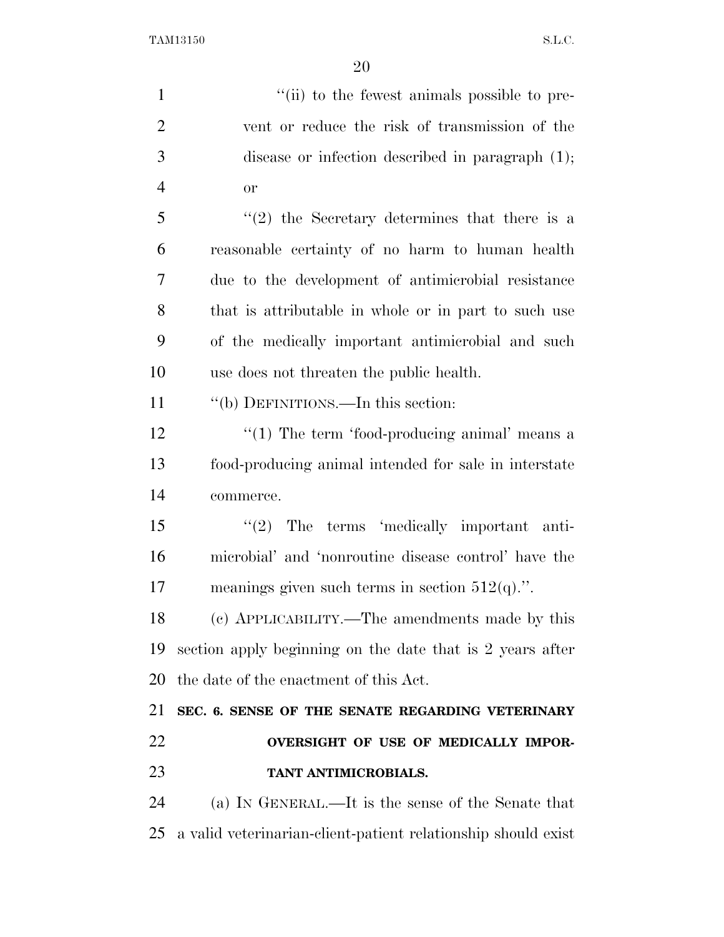| $\mathbf{1}$   | "(ii) to the fewest animals possible to pre-                  |
|----------------|---------------------------------------------------------------|
| $\overline{2}$ | vent or reduce the risk of transmission of the                |
| 3              | disease or infection described in paragraph $(1)$ ;           |
| $\overline{4}$ | <b>or</b>                                                     |
| 5              | $f'(2)$ the Secretary determines that there is a              |
| 6              | reasonable certainty of no harm to human health               |
| 7              | due to the development of antimicrobial resistance            |
| 8              | that is attributable in whole or in part to such use          |
| 9              | of the medically important antimicrobial and such             |
| 10             | use does not threaten the public health.                      |
| 11             | "(b) DEFINITIONS.—In this section:                            |
| 12             | $"(1)$ The term 'food-producing animal' means a               |
| 13             | food-producing animal intended for sale in interstate         |
| 14             | commerce.                                                     |
| 15             | $\lq(2)$ The terms 'medically important anti-                 |
| 16             | microbial' and 'nonroutine disease control' have the          |
| 17             | meanings given such terms in section $512(q)$ .".             |
| 18             | (c) APPLICABILITY.—The amendments made by this                |
| 19             | section apply beginning on the date that is 2 years after     |
| 20             | the date of the enactment of this Act.                        |
| 21             | SEC. 6. SENSE OF THE SENATE REGARDING VETERINARY              |
| 22             | OVERSIGHT OF USE OF MEDICALLY IMPOR-                          |
| 23             | TANT ANTIMICROBIALS.                                          |
| 24             | (a) IN GENERAL.—It is the sense of the Senate that            |
| 25             | a valid veterinarian-client-patient relationship should exist |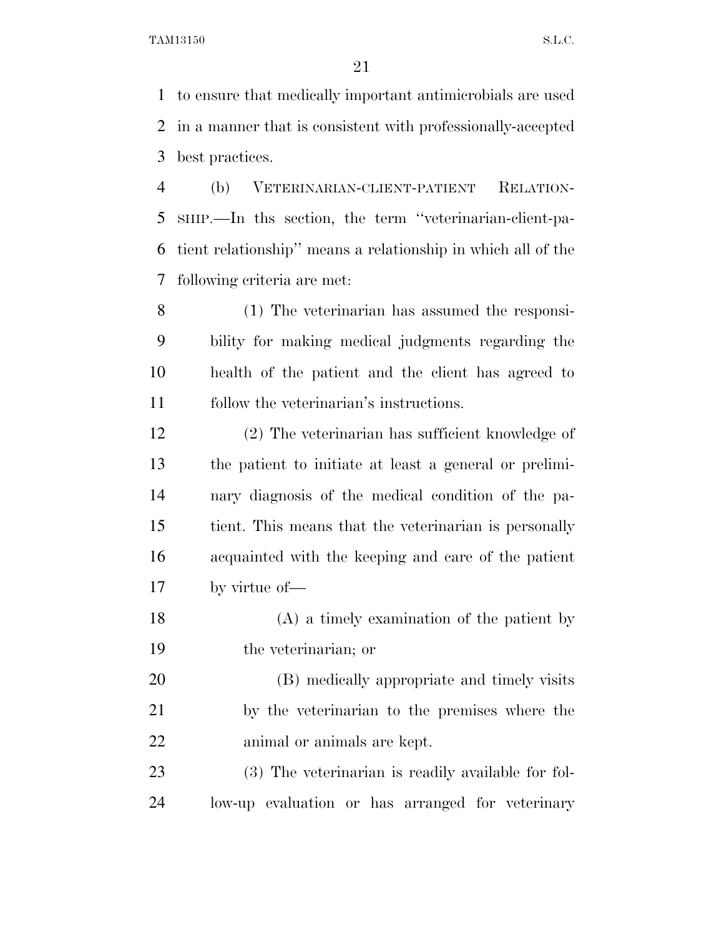to ensure that medically important antimicrobials are used in a manner that is consistent with professionally-accepted best practices.

 (b) VETERINARIAN-CLIENT-PATIENT RELATION- SHIP.—In ths section, the term ''veterinarian-client-pa- tient relationship'' means a relationship in which all of the following criteria are met:

 (1) The veterinarian has assumed the responsi- bility for making medical judgments regarding the health of the patient and the client has agreed to follow the veterinarian's instructions.

 (2) The veterinarian has sufficient knowledge of the patient to initiate at least a general or prelimi- nary diagnosis of the medical condition of the pa- tient. This means that the veterinarian is personally acquainted with the keeping and care of the patient by virtue of—

 (A) a timely examination of the patient by the veterinarian; or

 (B) medically appropriate and timely visits by the veterinarian to the premises where the animal or animals are kept.

 (3) The veterinarian is readily available for fol-low-up evaluation or has arranged for veterinary